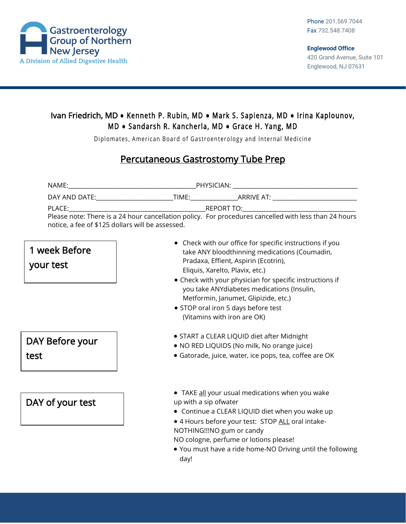

## Ivan Friedrich, MD **●** Kenneth P. Rubin, MD **●** Mark S. Sapienza, MD **●** Irina Kaplounov, M D **●** Sandarsh R. Kancherla, MD **●** Grace H. Yang, MD

Diplomates, American Board of Gastroenterology and Internal Medicine

## Percutaneous Gastrostomy Tube Prep

| NAME:                                                                                                          | PHYSICIAN: The contract of the contract of the contract of the contract of the contract of the contract of the |
|----------------------------------------------------------------------------------------------------------------|----------------------------------------------------------------------------------------------------------------|
| DAY AND DATE: THE STATE OF THE STATE OF THE STATE OF THE STATE OF THE STATE OF THE STATE OF THE STATE OF THE S | TIME: TIME:<br>ARRIVE AT: ARRIVE AT A                                                                          |
| PLACE:                                                                                                         | REPORT TO: A PARTICULARY CONTROLLER CONTROLLER CONTROLLER CONTROLLER CONTROLLER CONTROLLER CONTROLLER CONTROLL |
|                                                                                                                | Please note: There is a 24 hour cancellation policy. For procedures cancelled with less than 24 hours          |
| notice, a fee of \$125 dollars will be assessed.                                                               |                                                                                                                |

## • Check with our office for specific instructions if you take ANY bloodthinning medications (Coumadin, Pradaxa, Effient, Aspirin (Ecotrin), Eliquis, Xarelto, Plavix, etc.) • Check with your physician for specific instructions if you take ANYdiabetes medications (Insulin, Metformin, Janumet, Glipizide, etc.) • STOP oral iron 5 days before test (Vitamins with iron are OK) • START a CLEAR LIQUID diet after Midnight • NO RED LIQUIDS (No milk, No orange juice) • Gatorade, juice, water, ice pops, tea, coffee are OK • TAKE all your usual medications when you wake up with a sip ofwater • Continue a CLEAR LIQUID diet when you wake up • 4 Hours before your test: STOP ALL oral intake-NOTHING!!!NO gum or candy NO cologne, perfume or lotions please! • You must have a ride home-NO Driving until the following DAY of your test DAY Before your test 1 week Before your test

day!